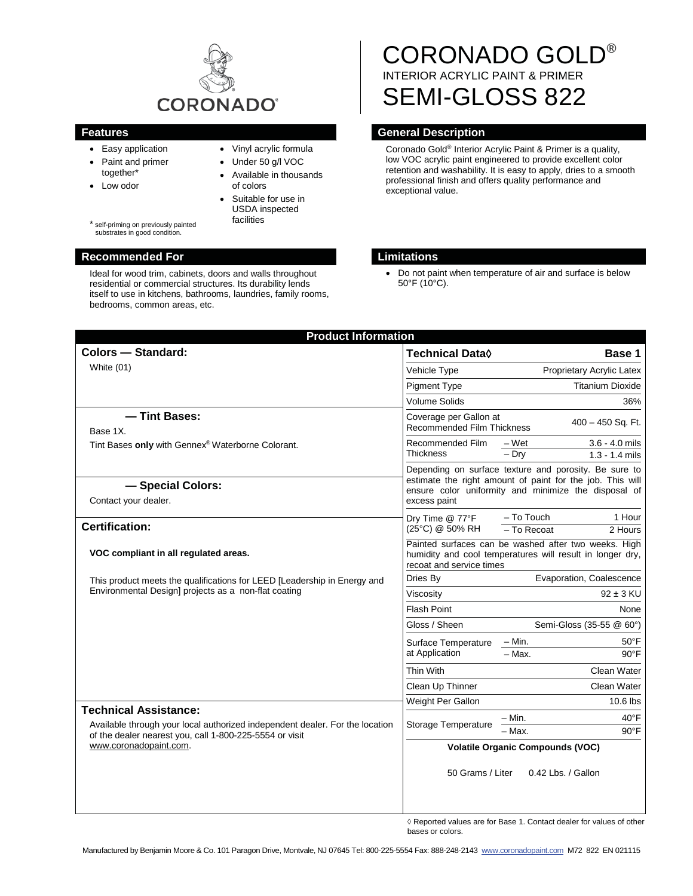

- Easy application
- Paint and primer together\*
- Low odor
- Vinyl acrylic formula
- Under 50 g/l VOC
	- Available in thousands of colors
		- Suitable for use in USDA inspected facilities

self-priming on previously painted substrates in good condition.

# **Recommended For Limitations**

Ideal for wood trim, cabinets, doors and walls throughout residential or commercial structures. Its durability lends itself to use in kitchens, bathrooms, laundries, family rooms, bedrooms, common areas, etc.

# CORONADO GOLD® INTERIOR ACRYLIC PAINT & PRIMER SEMI-GLOSS 822

# **Features Features General Description**

Coronado Gold® Interior Acrylic Paint & Primer is a quality, low VOC acrylic paint engineered to provide excellent color retention and washability. It is easy to apply, dries to a smooth professional finish and offers quality performance and exceptional value.

• Do not paint when temperature of air and surface is below 50°F (10°C).

| <b>Product Information</b>                                                                                                                                              |                                                                                                                                                                                            |  |
|-------------------------------------------------------------------------------------------------------------------------------------------------------------------------|--------------------------------------------------------------------------------------------------------------------------------------------------------------------------------------------|--|
| <b>Colors - Standard:</b>                                                                                                                                               | <b>Technical Data</b> ♦<br>Base 1                                                                                                                                                          |  |
| White $(01)$                                                                                                                                                            | Vehicle Type<br>Proprietary Acrylic Latex                                                                                                                                                  |  |
|                                                                                                                                                                         | <b>Pigment Type</b><br><b>Titanium Dioxide</b>                                                                                                                                             |  |
|                                                                                                                                                                         | <b>Volume Solids</b><br>36%                                                                                                                                                                |  |
| - Tint Bases:<br>Base 1X.<br>Tint Bases only with Gennex® Waterborne Colorant.                                                                                          | Coverage per Gallon at<br>400 - 450 Sq. Ft.<br><b>Recommended Film Thickness</b>                                                                                                           |  |
|                                                                                                                                                                         | Recommended Film<br>$3.6 - 4.0$ mils<br>– Wet<br>Thickness<br>$-$ Dry<br>$1.3 - 1.4$ mils                                                                                                  |  |
| - Special Colors:<br>Contact your dealer.                                                                                                                               | Depending on surface texture and porosity. Be sure to<br>estimate the right amount of paint for the job. This will<br>ensure color uniformity and minimize the disposal of<br>excess paint |  |
| <b>Certification:</b>                                                                                                                                                   | - To Touch<br>1 Hour<br>Dry Time @ 77°F<br>(25°C) @ 50% RH<br>- To Recoat<br>2 Hours                                                                                                       |  |
| VOC compliant in all regulated areas.                                                                                                                                   | Painted surfaces can be washed after two weeks. High<br>humidity and cool temperatures will result in longer dry,<br>recoat and service times                                              |  |
| This product meets the qualifications for LEED [Leadership in Energy and                                                                                                | Evaporation, Coalescence<br>Dries By                                                                                                                                                       |  |
| Environmental Design] projects as a non-flat coating                                                                                                                    | $92 \pm 3$ KU<br>Viscosity                                                                                                                                                                 |  |
|                                                                                                                                                                         | Flash Point<br>None                                                                                                                                                                        |  |
|                                                                                                                                                                         | Gloss / Sheen<br>Semi-Gloss (35-55 @ 60°)                                                                                                                                                  |  |
|                                                                                                                                                                         | – Min.<br>$50^{\circ}$ F<br>Surface Temperature<br>at Application<br>$-$ Max.<br>$90^{\circ}$ F                                                                                            |  |
|                                                                                                                                                                         | Thin With<br>Clean Water                                                                                                                                                                   |  |
|                                                                                                                                                                         | Clean Up Thinner<br>Clean Water                                                                                                                                                            |  |
|                                                                                                                                                                         | Weight Per Gallon<br>10.6 lbs                                                                                                                                                              |  |
| <b>Technical Assistance:</b><br>Available through your local authorized independent dealer. For the location<br>of the dealer nearest you, call 1-800-225-5554 or visit | 40°F<br>– Min.<br>Storage Temperature<br>- Max.<br>$90^{\circ}$ F                                                                                                                          |  |
| www.coronadopaint.com.                                                                                                                                                  | <b>Volatile Organic Compounds (VOC)</b>                                                                                                                                                    |  |
|                                                                                                                                                                         | 50 Grams / Liter<br>0.42 Lbs. / Gallon                                                                                                                                                     |  |

 $\Diamond$  Reported values are for Base 1. Contact dealer for values of other bases or colors.